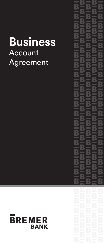# **Business Account** Agreement

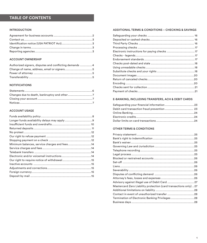## **TABLE OF CONTENTS**

#### INTRODUCTION

#### ACCOUNT OWNERSHIP

| Authorized signers, disputes and conflicting demands  4 |  |
|---------------------------------------------------------|--|
|                                                         |  |
|                                                         |  |
|                                                         |  |

#### **NOTIFICATIONS**

### ACCOUNT USAGE

| Minimum balances, service charges and fees14 |  |
|----------------------------------------------|--|
|                                              |  |
|                                              |  |
|                                              |  |
|                                              |  |
|                                              |  |
|                                              |  |
|                                              |  |
|                                              |  |

### ADDITIONAL TERMS & CONDITIONS – CHECKING & SAVINGS

| Electronic instructions for paying checks 17 |  |
|----------------------------------------------|--|
|                                              |  |
|                                              |  |
|                                              |  |
|                                              |  |
|                                              |  |
|                                              |  |
|                                              |  |
|                                              |  |
|                                              |  |
|                                              |  |
|                                              |  |

#### E-BANKING, INCLUDING TRANSFERS, ACH & DEBIT CARDS

#### OTHER TERMS & CONDITIONS

| Mastercard Zero Liability protection (card transactions only) 27 |  |
|------------------------------------------------------------------|--|
|                                                                  |  |
|                                                                  |  |
|                                                                  |  |
|                                                                  |  |
|                                                                  |  |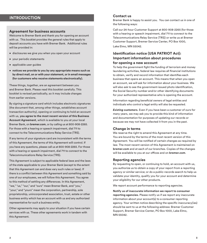### **INTRODUCTION**

### **Agreement for business accounts**

Welcome to Bremer Bank and thank you for opening an account with us. This booklet provides the general rules that apply to deposit accounts you have with Bremer Bank. Additional rules will be provided in:

- disclosures we give you when you open your account
- your periodic statements
- applicable user guides
- **notices we provide to you by any appropriate means such as by direct mail, on or with your statement, or in email messages (for customers who receive statements electronically).**

These things, together, are an agreement between you and Bremer Bank. Please read this booklet carefully. This booklet is revised periodically, so it may include changes from earlier versions.

By signing a signature card which includes electronic signatures (the document that, among other things, establishes account transaction authority), opening or continuing to hold an account with us, **you agree to the most recent version of this Business Account Agreement**, which is available to you at your local Bremer Bank, on **bremer.com**, or by calling us at 800-908-2265. For those with a hearing or speech impairment, dial 711 to connect to the Telecommunications Relay Service (TRS).

If any terms of your signature card are inconsistent with the terms of this Agreement, the terms of this Agreement will control. If you have any questions, please call us at 800-908-2265. For those with a hearing or speech impairment, dial 711 to connect to the Telecommunications Relay Service (TRS).

This Agreement is subject to applicable federal laws and the laws of the state applicable to your Bremer Bank (except to the extent that this Agreement can and does vary such rules or laws). If there is a conflict between this Agreement and something said by one of our employees, we will follow this Agreement. You agree to this method of settling any differences. In this Agreement, "we," "us," "our," and "ours" mean Bremer Bank, and "you," "your," and "yours" mean the corporation, partnership, sole proprietorship, unincorporated association, trust, estate or other business entity which has an account with us and any authorized representative for such a business entity.

Other agreements may apply to your situation if you have certain services with us. These other agreements work in tandem with this Agreement.

### **Contact us**

Bremer Bank is happy to assist you. You can contact us in one of the following ways:

Call our 24-hour Customer Support at 800-908-2265 (for those with a hearing or speech impairment, dial 711 to connect to the Telecommunications Relay Service (TRS)) or write us at Bremer Customer Support, Bremer Service Center, PO Box 1000, Lake Elmo, MN 55042.

### **Identification notice (USA PATRIOT Act): Important information about procedures for opening a new account**

To help the government fight the funding of terrorism and money laundering activities, federal law requires all financial institutions to obtain, verify and record information that identifies each business that opens an account. This means that when you open an account, we will ask for information about your business. We will also ask to see the government-issued photo identification, the Social Security number and/or other identifying documents for your authorized representative who is opening the account.

Information regarding beneficial owners of legal entities and individuals who control a legal entity will also be requested.

*Existing customers.* Even if you have been a customer of ours for many years, we may ask you to provide this kind of information and documentation for purposes of updating our records or because we may not have collected it from you in the past.

#### **Change in terms**

We reserve the right to amend this Agreement at any time. You are bound by the terms of the most recent version of this Agreement. You will be notified of certain changes as required by law. The most recent version of this Agreement is maintained on **bremer.com** and at each of our branches. Copies of the changes will be available to you at our offices and on **bremer.com**.

#### **Reporting agencies**

By requesting to open, or continuing to hold, an account with us, you authorize us to obtain a copy of your report from a reporting agency or similar service; or do a public-records search to help us validate your identity, qualify you for your account and determine your eligibility for our other products.

We report account performance to reporting agencies.

**Notify us of inaccurate information we report to consumer reporting agencies.** Please notify us if we report any inaccurate information about your account(s) to a consumer reporting agency. Your written notice describing the specific inaccuracy(ies) should be sent to us at the following address: Bremer Customer Support, Bremer Service Center, PO Box 1000, Lake Elmo, MN 55042.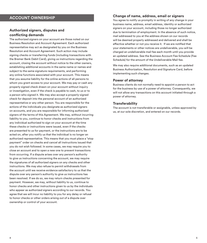### **ACCOUNT OWNERSHIP**

### **Authorized signers, disputes and conflicting demands**

The authorized signers on your account are those noted on our Business Resolution and Account Agreement. Each authorized representative may act as designated by you on the Business Resolution and Account Agreement. Such action may include signing checks or transferring funds (including transactions with the Bremer Bank Debit Card), giving us instructions regarding the account, closing the account without notice to the other owners, establishing additional accounts in the same name or names and subject to the same signature requirements, and performing any online functions associated with your account. This means that you assume liability for the online actions of all persons to whom you grant access to your account. We may pay or cash any properly signed check drawn on your account without inquiry or investigation, even if the check is payable to cash, to us or to a person who signed it. We may also accept a properly-signed check for deposit into the personal account of an authorized representative or any other person. You are responsible for the actions of the individuals you designate as authorized signers on accounts, and you are responsible for informing authorized signers of the terms of this Agreement. We may, without incurring liability to you, continue to honor checks and instructions from any individual authorized to sign on your account at the time these checks or instructions were issued, even if the checks are presented to us for payment, or the instructions are to be acted on, after you notify us that the individual is no longer an authorized representative. This means that you must place a "stop payment" order on checks and cancel all instructions issued that you do not wish followed. In some cases, we may require you to close an account and to open a new one to prevent transactions from occurring. If a dispute arises over any person's authority to give us instructions concerning the account, we may require the signatures of all authorized signers on any checks and other instructions. We may also refuse to permit withdrawals from the account until we receive evidence satisfactory to us that the dispute over any person's authority to give us instructions has been resolved. If we do so, we may return checks presented for payment. However, we may, without liability to us, continue to honor checks and other instructions given to us by the individuals who appear as authorized signers according to our records. You agree that we will incur no liability to you for any delay or refusal to honor checks or other orders arising out of a dispute over ownership or control of your account.

### **Change of name, address, email or signers**

You agree to notify us promptly in writing of any change in your business name, address, email address, identity or authorized signers on your account, including those no longer authorized due to termination of employment. In the absence of such notice, mail addressed to you at the address shown on our records will be deemed properly addressed and delivered and shall be effective whether or not you receive it. If we are notified that your statements or other notices are undeliverable, you will be charged an undeliverable mail fee each month until you provide an updated address. See the Business Account Fee Schedule (Fee Schedule) for the amount of the Undeliverable Mail fee.

We may also require additional documents, such as an updated Business Authorization, Resolution and Signature Card, before implementing such changes.

#### **Power of attorney**

Business clients do not normally need to appoint a person to act for the business by use of a power of attorney. Consequently, we will not allow any transactions on this account initiated through a power of attorney.

#### **Transferability**

The account is not transferable or assignable, unless approved by us, at our sole discretion, and entered on our records.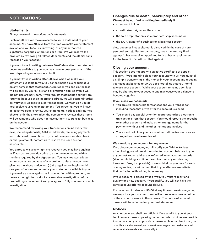### **NOTIFICATIONS**

#### **Statements**

*Timely review of transactions and statements*

Each month we will make available to you a statement of your account. You have 30 days from the time we make your statement available to you to tell us, in writing, of any unauthorized signatures, forgeries, alterations or errors. We will resolve the problem by reviewing all related documents and the official bank records on your account.

If you notify us in writing between 30-60 days after the statement becomes available to you, you may have to bear part or all of the loss, depending on who was at fault.

If you notify us in writing after 60 days when we make your statement available to you, you cannot make a claim against us on any items in that statement. As between you and us, the loss will be entirely yours. This 60-day limitation applies even if we did not use ordinary care. If you request statements and they are returned because of an incorrect address, we will suspend further delivery until we receive a correct address. Contact us if you do not receive your regular statement. You agree that you will have at least two people review your statements, notices and returned checks, or in the alternative, the person who reviews these items will be someone who does not have authority to transact business on the account.

We recommend reviewing your transactions online every few days, including deposits, ATM withdrawals, recurring payments and debit card transactions. If you notice a questionable check or charge amount, contact us to resolve the issue as soon as possible.

You agree to waive any rights to recovery you may have against us if you do not provide notice to us in the manner and within the time required by this Agreement. You may not start a legal action against us because of any problem unless: (a) you have given us the above notice and (b) the legal action begins within one year after we send or make your statement available to you. If you make a claim against us in connection with a problem, we reserve the right to conduct a reasonable investigation before re-crediting your account and you agree to fully cooperate in such investigation.

#### **Changes due to death, bankruptcy and other We must be notified in writing immediately if**

- an account holder
- an authorized signer on the account
- the sole proprietor on a sole proprietorship account, or
- the 100% owner of a business on a business account

dies, becomes incapacitated, is dissolved (in the case of nonpersonal entity), files for bankruptcy, has a bankruptcy filed against it, has a receiver appointed for it or has an assignment for the benefit of creditors filed against it.

#### **Closing your account**

This section does not apply to an active certificate of deposit account. If you intend to close your account with us, you must tell us. Simply transferring all the money in your account and reducing your account balance to \$0.00 does not tell us that you intend to close your account. While your account remains open fees may be charged to your account and may cause your balance to become negative.

#### **If you close your account:**

- You are still responsible for transactions you arranged for, including those that arrive after the account is closed.
- You should pay special attention to pre-authorized electronic transactions from that account. You should reroute the deposits to another account and make other arrangements for the payments with us and the other institutions involved.
- You should not close your account until all the transactions you arranged for have been cleared.

#### **We can close your account for any reason:**

If we close your account, we will notify you. Within 30 days after closing, we will send the collected account balance to you at your last known address as reflected in our account records (after withholding a sufficient sum to cover any outstanding items and fees, if applicable). If we withheld any money for such contingencies, we will refund that to you after we are satisfied that no further withholding is necessary.

If your account is closed by us or you, you must reapply and qualify for a new account. If you qualify, you will not have the same account prior to account closure.

If your account balance is \$0.00 at any time or remains negative, we may close your account. You will not receive advance notice of the account closure in these cases. The notice of account closure will be reflected on your final statement.

#### **Notices**

Any notice to you shall be sufficient if we send it to you at your last known address appearing on our records. Notices we provide to you may be by an appropriate means such as by direct mail, on or with your statement, or in email messages (for customers who receive statements electronically.)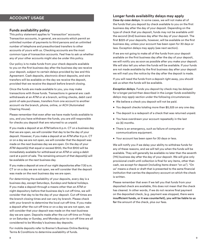#### **Funds availability policy**

This policy statement applies to "transaction" accounts. Transaction accounts, in general, are accounts which permit an unlimited number of payments to third persons and an unlimited number of telephone and preauthorized transfers to other accounts of yours with us. Checking accounts are the most common type of transaction accounts. Feel free to ask us whether any of your other accounts might also be under this policy.

Our policy is to make funds from your check deposits available to you on the first business day after the business day we receive your deposit, subject to certain delays provided by law and this Agreement. Cash deposits, electronic direct deposits, and wire transfers will be available on the day we receive the deposit, provided that we receive the deposit before branch closing.

Once the funds are made available to you, you may make transactions with those funds. Transactions in general are: cash withdrawals at an ATM or at a branch, writing checks, debit card point-of-sale purchases, transfers from one account to another account via the branch, phone, online, or ACH (Automated Clearing House).

Please remember that even after we have made funds available to you, and you have withdrawn the funds, you are still responsible for checks you deposit that are returned to us unpaid.

If you made a deposit at an ATM before 6 p.m. CT on a business day that we are open, we will consider that day to be the day of your deposit. However, if you make a deposit at an ATM after 6 p.m. CT or on a day we are not open, we will consider that the deposit was made on the next business day we are open. On the day of your ATM deposit(s) that equal or exceed \$100, the first \$100 will be immediately available for withdrawal at an ATM or using a debit card at a point of sale. The remaining amount of that deposit(s) will be available on the next business day.

If you make a deposit at one of our night depositories after 7:30 a.m. CT or on a day we are not open, we will consider that the deposit was made on the next business day we are open.

For determining the availability of your deposits, every day is a business day, except Saturdays, Sundays and federal holidays. If you make a deposit through a means other than an ATM or night depository before that business day's cut-off time, we will consider that day to be the day of your deposit. Cut-off times are the branch closing times and can vary by branch. Please check with your branch to determine the local cut-off time. If you make a deposit after the cut-off time or on a day we are not open, we will consider that your deposit was made on the next business day we are open. Deposits made after the cut-off time on Friday or on Saturday or Sunday, and Monday prior to cut-off time are all considered to be Monday's business day deposits.

For mobile deposits refer to Bremer's Business Online Banking Terms & Conditions to determine availability of funds.

### **ACCOUNT USAGE Longer funds availability delays may apply**

*Case-by-case delays.* In some cases, we will not make all of the funds that you deposit by check available to you on the first business day after the day of your deposit. Depending on the type of check that you deposit, funds may not be available until the second (2nd) business day after the day of your deposit. The first \$225 of your deposits, however, will be available on the first business day, unless your account has been open for 30 days or less. Exception delays may apply (see next section).

If we are not going to make all of the funds from your deposit available on the first business day after the day of your deposit, we will notify you as soon as possible after you make your deposit. We will also tell you when the funds will be available. If your funds are not made available by the first business day after your deposit we will mail you the notice by the day after the deposit is made.

If you will need the funds from a deposit right away, you should ask us when the funds will be available.

*Exception delays.* Funds you deposit by check may be delayed for a longer period than described in the *Longer funds availability delays may apply* section under the following circumstances:

- We believe a check you deposit will not be paid.
- You deposit checks totaling more than \$5,525 on any one day.
- The deposit is a redeposit of a check that was returned unpaid.
- You have overdrawn your account repeatedly in the last six (6) months.
- There is an emergency, such as failure of computer or communications equipment.
- Your account has been open for 30 days or less.

We will notify you if we delay your ability to withdraw funds for any of these reasons, and we will tell you when the funds will be available. They will generally be available no later than the seventh (7th) business day after the day of your deposit. We will give only provisional credit until collection is final for any items, other than cash, we accept for deposit (including items drawn "on us"). "On us" means a check or draft that is presented to the same financial institution that carries the depository account on which the check is written.

Please remember that even if we tell you that funds from your deposited check are available, this does not mean that the check has cleared. In other words, if we do not receive final payment on the deposited check, (e.g. payment was stopped, there were **insufficient funds, or it was counterfeit), you will be liable to us for** the amount of the check, plus our fees.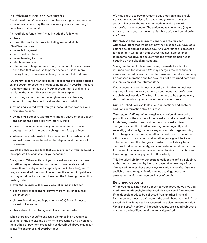### **Insufficient funds and overdrafts**

"Insufficient funds" means you don't have enough money in your account available to pay the withdrawals you are attempting to make from that account.

An insufficient funds "item" may include the following:

- check
- pre-authorized withdrawal including any small dollar "test"transactions
- online bill payment
- debit card purchase
- online banking transfer
- telephone transfer
- other attempt to get money from your account by any means permitted that we refuse to permit because it is for more money than you have available in your account at that time.

"Overdraft" means a transaction has caused the available balance on an account to become a negative number. An overdraft occurs if you take more money out of your account than is available to you for withdrawal. This can happen, for example:

- by writing a check without enough money in a checking account to pay the check, and we decide to cash it
- by making a withdrawal from your account that exceeds your available balance
- by making a deposit, withdrawing money based on that deposit and having the deposited item later reversed
- by withdrawing money from your account and not having enough money left to pay the charges and fees you incur
- when money is deposited into your account by mistake, and you withdraw money based on that deposit and the deposit is reversed.

We list the charges and fees that you may incur on your account in the separate *Fee Schedule* for your account.

*Our options.* When an item of yours overdraws an account, we can either pay or refuse to pay the item. If we receive a batch of transactions in a day (checks typically arrive in batches), and if one, some or all of them would overdraw the account if paid, we can pay or refuse to pay them based on the following transaction posting order:

- over-the-counter withdrawals at a teller line in a branch
- debit card transactions for payment from lowest to highest dollar amount
- electronic and automatic payments (ACH) from highest to lowest dollar amount
- checks from lowest to highest check number order.

When there are not sufficient available funds in an account to cover all of the checks and other items presented on a given day, the method of payment processing as described above may result in insufficient funds and overdraft fees.

We may choose to pay or refuse to pay electronic and check transactions at our discretion each time you overdraw your account based on the transaction activity and history of overdrafts in the account. The action we take one time (pay or refuse to pay) does not mean that is what action will be taken in the future.

*Our fees.* We charge an insufficient-funds fee for each withdrawal item that we do not pay that exceeds your available balance as of end of business day. An overdraft fee is assessed for each item we do pay that causes the available balance to become negative or occurs while the available balance is negative on the checking account.

You agree that multiple attempts may be made to submit a returned item for payment. We may charge a fee each time an item is submitted or resubmitted for payment; therefore, you may be assessed more than one fee as a result of a returned item and resubmission(s) of the returned item.

If your account is continuously overdrawn for five (5) business days we will charge your account a continuous overdraft fee on the sixth business day. This fee will continue to be applied every sixth business day if your account remains overdrawn.

Our Fee Schedule is available at all our locations and contains additional information about our fees.

*Your responsibilities.* When we give you notice of an overdraft, you will pay us the amount of the overdraft and any insufficient funds fees, overdraft fees and continuous overdraft fees charged as a result of it. All owners agree to be jointly and severally (individually) liable for any account shortage resulting from charges or overdrafts, whether caused by you or another with access to this account and whether you signed the item or benefited from the charge or overdraft. This liability for an overdraft is due immediately, and can be deducted directly from the account balance whenever sufficient funds are available. You have no right to defer payment of this liability.

This includes liability for our costs to collect the deficit including, to the extent permitted by law, our reasonable attorney's fees. You can talk to a banker about ways to avoid overdrafts. Options available based on qualification include savings accounts, automatic transfers and personal lines of credit.

### **Returned deposits**

When you make a non-cash deposit to your account, we give you credit for that deposit, but that credit is provisional (temporary). If the deposit needs to be collected from another financial institution, we must be paid before the credit becomes final. After a credit is final it may still be reversed. See also the section titled *Funds availability policy.* All deposit receipts are issued subject to our count and verification of the items deposited.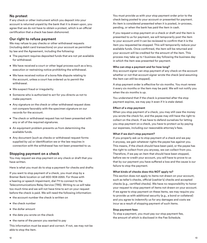#### **No protest**

If any check or other instrument which you deposit into your account is returned unpaid by the bank that it is drawn upon, you agree that we do not have to obtain a protest, which is an official certification that a check has been dishonored.

### **Our right to refuse payment**

We may refuse to pay checks or other withdrawal requests (including debit card transactions) on your account as permitted by law and the Agreement, including the following:

- The payment requires deposited funds that are not yet available for withdrawal.
- We have received a court or other legal process such as a levy, execution or restraining notice prohibiting the withdrawal.
- We have received notice of a bona fide dispute relating to the account, unless a court has ordered us to permit the withdrawal.
- We suspect fraud or irregularity.
- Someone who is authorized to act for you directs us not to make payment.
- Any signature on the check or other withdrawal request does not compare favorably with the specimen signature on our records for the account.
- The check or withdrawal request has not been presented with any or all of the required signatures.
- An equipment problem prevents us from determining the available funds.
- Any document (such as checks or withdrawal request forms supplied by us) or identification we or the law requires in connection with the withdrawal has not been presented to us.

### **Stopping payment on a check**

You may request we stop payment on any check or draft that you have written.

Here is what you must do to stop a payment for checks and drafts:

If you want to stop payment of a check, you must stop by a Bremer Bank location or call 800-908-2265. For those with a hearing or speech impairment, dial 711 to connect to the Telecommunications Relay Service (TRS). Writing to us will take too much time and we will not have time to act on your request before the check is paid. We will need the following information:

- the account number the check is written on
- the check number
- the dollar amount
- the date you wrote on the check
- the name of the person you wanted to pay

This information must be exact and correct. If not, we may not be able to stop the item.

You must provide us with your stop payment order prior to the check being posted to your account or presented for payment. An item is considered presented when it is posted, in-process, pending, or when the bank has paid the item in cash.

If you request a stop payment on a check or draft and the item is presented to us for payment, we will temporarily post the item to your account until it can be reviewed to confirm that it is the item you requested be stopped. This will temporarily reduce your available funds. Once confirmed, the item will be returned and your account will be credited for the amount of the item. This process may take up to 1 business day following the business day in which the item was presented for payment.

#### **Who can stop a payment and for how long?**

Any account signer can stop payment of any check on the account whether or not that account signer wrote the check (and assuming the item can still be stopped).

A stop payment order is effective for six months. You must renew it every six months or the item may be paid. We will not notify you when the six months is up.

You understand that if the check is presented after the stop payment expires, we may pay it even if it is stale-dated.

#### **Effect of a stop payment**

When you stop payment of a check, you may still owe the money you wrote the check for, and the payee may still have the right to collect on the check. If we have to defend ourselves for letting you stop payment on a check, you have to protect us by paying our expenses, including our reasonable attorney's fees.

#### **What if we don't stop payment?**

If you properly ask us to stop payment of a check and we pay it anyway, we gain whatever rights the payee has against you. This means, if the check should have been paid, or the payee has the right to collect from you anyway, we can collect from you. Therefore, if we pay an item that should have been stopped, before we re-credit your account, you will have to prove to us that by our payment you have suffered a loss and the cause is our failure to stop the payment.

#### **What kinds of checks does this NOT apply to?**

This section does not apply to items not drawn on your account, such as teller's checks, official (cashier's) checks and accepted checks (e.g., certified checks). We have no responsibility to honor your request to stop payment of items not drawn on your account. If we agree to stop payment on these items, we may require you to provide us with additional security (e.g., a bond or collateral) and you agree to indemnify us for any damages and costs we incur as a result of stopping payment of such items.

#### **Stop payment fees**

To stop a payment, you must pay our stop payment fee, the amount of which is disclosed in the Fee Schedule.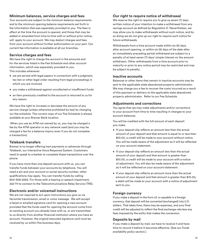### **Minimum balances, service charges and fees**

Your accounts are subject to the minimum balance requirements and to the minimum opening balance requirements set forth in the information that was separately provided to you. The fees in effect at the time the account is opened, and those that may be added or amended from time to time with or without prior notice, will apply to your account. We may deduct charges and fees from your account without further authorization on your part. Our current fee information is available at all our branches.

### **Service charges and fees**

We have the right to charge the account in the amounts and for the services listed in the Fee Schedule and other account information, which was separately provided to you. This includes whenever:

- we are served with legal papers in connection with a judgment, tax lien or other legal order resulting from legal proceedings in which you are involved
- you make a withdrawal against uncollected or insufficient funds
- an item previously credited to the account is returned to us for any reason.

We have the right to increase or decrease the amount of any service charge (unless otherwise prohibited by law) by changing our fee schedule. The current copy of our Fee Schedule is always available at your Bremer Bank location.

 When you use an ATM not owned by us, you may be charged a fee by the ATM operator or any network used (and you may be charged a fee for a balance inquiry even if you do not complete a transaction).

### **Telebank transfers**

Bremer is no longer offering loan payments or advances through Telebank, our Interactive Voice Response System. Customers need to speak to a banker to complete these transactions over the phone.

If you have more than one deposit account with us, you can transfer funds between your accounts by telephone. You will need a pin and your account or social security number, other qualifications may apply. You can transfer funds by calling 800-908-2265. For those with a hearing or speech impairment, dial 711 to connect to the Telecommunications Relay Service (TRS).

### **Electronic and/or voicemail instructions**

We are not required to act upon instructions you give us via facsimile transmission, email or voice message. We will accept a faxed or emailed signature card for opening a new account provided that the funds used for opening the account come from an existing account you already have with us, or are transmitted to us directly from another financial institution where you have an account. However, the original executed signature card must be received by us within five business days.

### **Our right to require notice of withdrawal**

We reserve the right to require you to give us seven (7) days written notice of your intention to make a withdrawal from any savings account as defined by Regulation D. Nevertheless, we may allow you to make withdrawals without such notice, and by so doing we do not give up our right to require such notice for future withdrawals.

Withdrawals from a time account made within six (6) days after account opening, or within six (6) days of the date after an immediately preceding partial withdrawal are subject to a penalty of at least seven (7) days' simple interest on the amount withdrawn. Other withdrawals from a time account prior to maturity or prior to any notice period may be restricted and may be subject to penalty.

#### **Inactive accounts**

Balances or other items that remain in inactive accounts may be sent to the applicable state abandoned property administrator. We may charge you a fee to recover the costs incurred as a result of this payment or delivery to the applicable state abandoned property administrator. Refer to our Fee Schedule.

### **Adjustments and corrections**

You agree that we may make adjustments and/or corrections to your account from time to time resulting in changes to your account balances.

You will be credited with the full amount of each deposit you make.

- If your deposit slip reflects an amount less than the actual amount of your deposit and that amount is equal to or less than \$10.00, a credit will be made to your account without notice. You will be made aware of the adjustment as it will be reflected on your account statement.
- If your deposit slip reflects an amount less than the actual amount of your deposit and that amount is greater than \$10.00, a credit will be made to your account with a notice of adjustment. You will also be made aware of the adjustment as it will be reflected on your account statement.
- If your deposit slip reflects an amount more than the actual amount of your deposit and that amount is greater than \$10.00, a debit will be made to your account with a notice of adjustment sent to you.

#### **Foreign currency**

If you make a deposit in the form of, or payable in a foreign currency, that deposit will be converted (exchanged) into U.S. dollars. That takes time, there may be expenses, and your final credit will be adjusted to reflect the final exchange rate less any fees imposed by the entity that makes the conversion.

### **Deposits by mail**

If you make a deposit by mail, we have to receive it and have time to record it before it becomes effective. (See our *Funds availability policy* section.)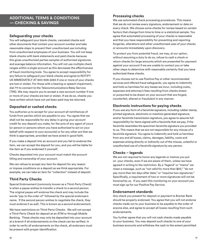### **ADDITIONAL TERMS & CONDITIONS — CHECKING & SAVINGS**

### **Safeguarding your checks**

You will safeguard your blank checks, canceled checks and other documents that contain your account number and take reasonable steps to prevent their unauthorized use including from unauthorized employees of your business. You will not keep blank checks with bank statements and paid checks because this gives unauthorized parties samples of authorized signatures and average balance information. You will not use multiple check ranges within a single account as this decreases the effectiveness of fraud-monitoring tools. You agree to accept responsibility for any failure to safeguard your blank checks and agree to NOTIFY US IMMEDIATELY AT 800-908-2265 if one or more of your checks are lost or stolen. For those with a hearing or speech impairment, dial 711 to connect to the Telecommunications Relay Service (TRS). We may require you to accept a new account number if one or more of your checks are lost or stolen. If we do so, checks you have written which have not yet been paid may be returned.

### **Deposited or cashed checks**

You authorize us to accept for your account all remittances of funds from parties which are payable to you. You agree that we shall not be responsible for any delay in giving your account credit for any deposit you make, for the acts of any agent of yours (or person or persons whom you have authorized to act on your behalf with respect to your accounts) or for any other act that we think is appropriate, provided we have acted in good faith.

If you make a deposit into an account and you fail to endorse the item, we can accept the deposit for you, and you will be liable for the item as if you endorsed it yourself.

Checks deposited into your account must match the account titling and ownership of your account.

We can refuse to accept any item for deposit for any reason or impose conditions on a deposit as we think appropriate. For example, we can take an item for "collection" instead of deposit.

### **Third Party Checks**

Special Endorsement (commonly known as a Third-Party Check) is when a payee wishes to transfer a check to a second person. The original payee will endorse the check and may include the words "pay to the order of" followed by the special endorsee's name. If the second person wishes to negotiate the check, they must endorse it as well. This is known as a second endorsement.

We have restrictions on Third-Party Checks. We will not accept a Third-Party Check for deposit at an ATM or through Mobile Banking. These checks may only be deposited into your account at a branch if all endorsements on the check can be verified. In order to verify all endorsements on the check, all endorsers must be present with proper identification.

### **Processing checks**

We use automated check processing procedures. This means that we do not review every signature, endorsement or date on every check. We choose some checks for review based on certain factors that change from time to time or a statistical sample. You agree that automated processing of your checks is reasonable and that you have responsibility for preventing and reporting forgeries, alterations and other unauthorized uses of your checks or accounts immediately upon discovery.

To protect you from potential fraud, we may, at our option, without assuming a duty to do so, refuse to cash a check or return checks for large amounts which are presented for payment against your account if we are unable to contact you or take other steps to determine with reasonable certainty that you have authorized these checks.

If you choose not to use Positive Pay or other recommended services and offered fraud safeguards, you agree to indemnify and hold us harmless for any losses we incur, including costs, expenses and attorney's fees resulting from checks drawn or purported to be drawn on your account that are forged, counterfeit, altered or fraudulent in any manner.

### **Electronic instructions for paying checks**

If you use any form of a facsimile signature, including rubber stamp, printed signature, electronic or machine-generated signature, and/or facsimile transmission signature, you agree to assume full responsibility for items signed with a facsimile that we pay, if the facsimile resembles the specimen facsimile signature you provided to us. This means that we are not responsible for any misuse of a facsimile signature. You agree to indemnify and hold us harmless from any and all losses, claims, damages, liability, costs and expenses arising directly or indirectly out of the misuse, unlawful or unauthorized use of a facsimile signature by any person.

#### **Checks – legends**

We are not required to honor any legends or memos you put on your checks, even if we are aware of them, unless we have agreed in writing to the restriction. By a "legend" or "memo" we mean a message, such as "not valid for more than \$50," "do not pay more than ten days after date," or "requires two signatures." Specifically, a requirement of two or more signatures will not be honored by us. If you want this monitoring on your account you must sign up for our Positive Pay Service.

#### **Endorsement standards**

Any check you present for deposit or payment to Bremer Bank should be properly endorsed. You agree that you will not endorse checks made out to your business to be payable to the order of anyone else, and agree to accept all losses resulting from such endorsements.

You further agree that you will not cash checks made payable to your business. You may deposit such checks to one of your business accounts and withdraw the cash to the extent permitted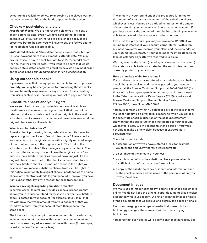by our funds availability policy. By endorsing a check you warrant that you have clear title to the funds deposited in the account.

### **Checks – post-dated and stale**

*Post-dated checks.* We are not responsible to you if we pay a check before its date, even if we have noticed that it is postdated. If we, at our option, refuse to pay a check because it is presented before its date, you will have to pay the fee we charge for insufficient funds, if applicable.

*Stale-dated checks.* A "stale-dated" check is one that is brought to us for payment more than six months after its date. We may pay, or refuse to pay, a check brought to us ("presented") more than six months after its date. If you want to be sure that we do not pay a stale-dated check, you must place a stop payment order on the check. (See our *Stopping payment on a check* section.)

#### **Using unreadable checks**

If you use checks that our equipment is unable to read or process properly, you may be charged a fee for processing those checks. You will be solely responsible for any costs and losses resulting from using such checks, including our refusal to pay such checks.

### **Substitute checks and your rights**

We are required by law to provide this notice which explains the differences between your original check (that may not be returned) and a substitute check, and your rights in the event the substitute check causes a loss that would have been avoided if the original check were still available.

#### **What is a substitute check?**

To make check processing faster, federal law permits banks to replace original checks with "substitute checks." These checks are similar in size to original checks with a slightly reduced image of the front and back of the original check. The front of the substitute check states: "This is a legal copy of your check. You can use it the same way you would use the original check." You may use the substitute check as proof of payment just like the original check. Some or all of the checks that we return to you may be substitute checks. This notice describes the rights you have when you receive substitute checks from us. The rights in this notice do not apply to original checks, photocopies of original checks or to electronic debits to your account. However, you have rights under other laws with respect to those transactions.

#### **What are my rights regarding substitute checks?**

In certain cases, federal law provides a special procedure that allows you to request a refund for losses you suffer if a substitute check is posted to your account (for example, if you think that we withdrew the wrong amount from your account or that we withdrew money from your account more than once for the same check).

The losses you may attempt to recover under this procedure may include the amount that was withdrawn from your account and fees that were charged as a result of the withdrawal (for example, overdraft or insufficient funds fees).

The amount of your refund under this procedure is limited to the amount of your loss or the amount of the substitute check, whichever is less. You are also entitled to interest on the amount of your refund if your account is an interest-bearing account. If your loss exceeds the amount of the substitute check, you may be able to recover additional amounts under other law.

If you use this procedure, you may receive up to \$2,500 of your refund (plus interest, if your account earns interest) within ten business days after we received your claim and the remainder of your refund (plus interest, if your account earns interest) not later than 45 calendar days after we received your claim.

We may reverse the refund (including any interest on the refund) if we later are able to demonstrate that the substitute check was correctly posted to your account.

#### **How do I make a claim for a refund?**

If you believe that you have suffered a loss relating to a substitute check that you received and that was posted to your account, please call the Bremer Customer Support at 800-908-2265 (for those with a hearing or speech impairment, dial 711 to connect to the Telecommunications Relay Service (TRS)) or write us at Bremer Customer Support, Bremer Service Center, PO Box 1000, Lake Elmo, MN 55042

You must contact us within 40 calendar days of the date that we mailed (or otherwise delivered by a means to which you agreed) the substitute check in question or the account statement showing that the substitute check was posted to your account, whichever is later. We will extend this time period if you were not able to make a timely claim because of extraordinary circumstances.

Your claim must include:

- 1. a description of why you have suffered a loss (for example, you think the amount withdrawn was incorrect)
- 2. an estimate of the amount of your loss
- 3. an explanation of why the substitute check you received is insufficient to confirm that you suffered a loss
- 4. a copy of the substitute check or identifying information such as the check number and the name of the person to whom you wrote the check.

### **Document images**

We make use of image technology to archive all check documents online. We do not keep the original paper documents (like checks) associated with your account. We retain scanned images of most of the documents that we receive and destroy the paper originals.

Electronic imaging is one type of media that is used, but as technology changes, there are and will be other copying techniques.

You agree that such copies will be sufficient for all purposes. See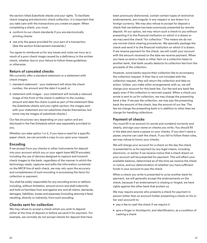the section titled *Substitute checks and your rights.* To facilitate check imaging and electronic check collection, it is important that you take care with the transactions you create on paper. When completing a check, you must:

- conform to our check standards if you are electronically printing checks
- use only the space provided for your part of a transaction (See the section Endorsement standards.)

You agree to reimburse us for any losses and costs we incur as a result of a poor check image caused by a deficiency in the written check, whether due to your failure to follow these guidelines or otherwise.

### **Return of canceled checks**

We currently offer a standard statement or a statement with check images:

- 1. standard statement your statement will show the check number, the amount and the date it is paid; or
- 2. statement with images your statement will include a reduced image of the front of the check in addition to the number, amount and date the check is paid as part of the statement (See the *Substitute checks and your rights* section; the images sent with your statement are not substitute checks themselves, but some may be images of substitute checks.)

Our fee structures vary depending on your option and are disclosed in the Fee Schedule which was separately provided to you.

Whether you take option 1 or 2, if you have a need for a specific paper check, we can provide a copy to you upon your request.

### **Encoding**

If we accept from you checks or other instruments for deposit into your account which you or your agent have MICR encoded, including the use of devices designed to capture and transmit check images to the bank, regardless of the manner in which the technology reads, captures and edits the information contained on the MICR line of each check, we may rely upon the accuracy and completeness of such encoding in processing the items for collection or payment.

You shall be solely responsible for any encoding errors or defects including, without limitation, amount errors and shall indemnify and hold us harmless from and against any and all claims, demands, damages, liabilities, losses and expenses (including attorney's fees) resulting, directly or indirectly, from such encoding.

### **Checks sent for collection**

We may refuse to accept a check which you wish to deposit either at the time of deposit or before we send it for payment. For example, we normally do not accept checks for deposit that have

been previously dishonored, contain certain types of restrictive endorsements, are irregular in any respect or are drawn in a foreign currency. We may also refuse to accept for deposit a check that we believe has been previously presented by remote deposit. At our option, we may return such a check to you without presenting it to the financial institution on which it is drawn or we may send the check "for collection." This means we do not use normal check clearing procedures. We specially package the check and send it to the financial institution on which it is drawn. If we receive payment for the check, we will credit your account with the amount received on the date we receive payment. When you have us send a check or other item on a collection basis to another bank, that bank usually deducts its collection fee from the proceeds of the collection.

However, some banks require their collection fee to accompany the collection request. If their fee is not included with the collection request, they will return the collection and take no action. Unless you make other arrangements with us, we will charge your account for this bank fee. Our fee and any bank fee apply even if the collection is returned unpaid. When a check you wrote is sent to us for collection, we may charge the presenting bank a fee. If we pay the collection, we may pay the presenting bank the amount of the check, less the amount of our fee. The fee we charge the presenting bank is in addition to other fees we charge for handling collections.

### **Payment of checks**

You must fill in an amount (in words and numbers) correctly and clearly, and sign your name on checks you write. You should fill in the date and name a payee on your checks. If you don't name a payee, anyone can cash the check. If you fail to follow these rules, we may refuse to honor your checks.

We will charge your account for a check on the day the check is presented to us for payment by any legal means, including electronic, or earlier if we receive notice that a check drawn on your account will be presented for payment. This will affect your available balance, determined as of the time we receive the check or notice, and our determination of whether you have sufficient funds in your account to pay the check.

When a check you write is presented to us by another bank for payment, we will generally accept the endorsements on the check, because if an endorsement is missing or forged, we have rights against the other bank that protect us.

We may require anyone who presents a check for payment in person (other than an account holder presenting a check on his or her own account) to:

- pay a fee to cash the check if we require it
- give a finger or thumbprint, and identification, as a condition of cashing a check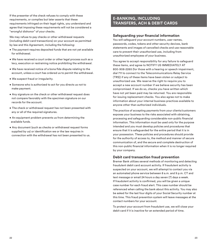If the presenter of the check refuses to comply with these requirements, or complies but later asserts that these requirements infringed on their legal rights, you understand and agree that imposing these requirements will not be considered a "wrongful dishonor" of your checks.

We may refuse to pay checks or other withdrawal requests (including debit card transactions) on your account as permitted by law and this Agreement, including the following:

- The payment requires deposited funds that are not yet available for withdrawal.
- We have received a court order or other legal process such as a levy, execution or restraining notice prohibiting the withdrawal.
- We have received notice of a bona fide dispute relating to the account, unless a court has ordered us to permit the withdrawal.
- We suspect fraud or irregularity.
- Someone who is authorized to act for you directs us not to make payment.
- Any signature on the check or other withdrawal request does not compare favorably with the specimen signature on our records for the account.
- The check or withdrawal request has not been presented with any or all of the required signatures.
- An equipment problem prevents us from determining the available funds.
- Any document (such as checks or withdrawal request forms supplied by us) or identification we or the law requires in connection with the withdrawal has not been presented to us.

### **E-BANKING, INCLUDING TRANSFERS, ACH & DEBIT CARDS**

### **Safeguarding your financial information**

You will safeguard your account numbers, user names, passwords, codes, tokens and other security devices, bank statements and images of cancelled checks and use reasonable care to prevent their unauthorized use, including from unauthorized employees of your business.

You agree to accept responsibility for any failure to safeguard these items, and agree to NOTIFY US IMMEDIATELY AT 800-908-2265 (for those with a hearing or speech impairment, dial 711 to connect to the Telecommunications Relay Service (TRS)) if any of these items have been stolen or subject to unauthorized use. We reserve the right to require you to accept a new account number if we believe security has been compromised. If we do so, checks you have written which have not yet been paid may be returned. You are responsible for issuing replacement checks. You also agree not to make information about your internal business practices available to anyone other than authorized individuals.

The practice of accepting payments from your clients/customers exposes your business to the risks associated with obtaining, processing and safeguarding considerable non-public financial information. This information must be used only for the purpose intended and you must develop policies and procedures that ensure that it is safeguarded for the entire period that it is in your possession. These policies and procedures should provide for the authority of access to, the method and manner of secure communication of, and the secure and complete destruction of this non-public financial information when it is no longer required by your company.

#### **Debit card transaction fraud prevention**

Bremer Bank utilizes several methods of monitoring and detecting fraudulent debit card account activity. If fraudulent activity is suspected on your account, we will attempt to contact you via an automated phone service between 8 a.m. and 9 p.m. CT and text message or email 24 hours a day seven (7) days a week. If fraudulent activity is confirmed, you will be given a unique case number for each fraud alert. This case number should be referenced when calling the bank about this activity. You may also be asked for the last four digits of your Social Security number at this time. This fraud prevention system will leave messages at the contact numbers for your account.

To protect your account from fraudulent use, we will close your debit card if it is inactive for an extended period of time.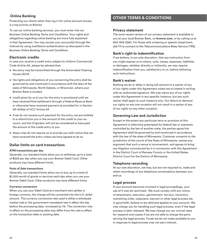### **Online Banking**

Protecting our clients when they log in for online account access is a top priority at Bremer.

To use our online banking services, you must enter into our *Business Online Banking Terms and Conditions.* Your rights and obligations regarding online banking are more fully explained in that Agreement. You may access your account(s) through the Internet by using multifactor authentication as discussed in the *Business Online Banking Terms and Conditions.*

### **Electronic credits**

In case you receive a credit entry subject to Uniform Commercial Code Article 4A, please be advised that:

- the entry may be transmitted through the Automated Clearing House (ACH)
- the rights and obligations of you concerning the entry shall be governed by and construed in accordance with the laws of the state of Minnesota, North Dakota, or Wisconsin, where your Bremer Bank is located
- credit given by us to you for the entry is provisional until we have received final settlement through a Federal Reserve Bank or otherwise have received payment as provided for in Section 4A-403(a) of UCC Article 4A
- if we do not receive such payment for the entry, we are entitled to a refund from you in the amount of the credit to your account, and the Originator will not be considered to have paid the amount of the credit entry to you
- these rules do not require us to provide you with notice that we have received the entry unless we have agreed to do so.

### **Dollar limits on card transactions**

#### **ATM transactions per day**

Generally, our standard limits allow you to withdraw up to a total of \$525 per day when you use your Bremer Debit Card. Other products may have different limits.

#### **Point of Sale transactions**

Generally, our standard limits allow you to buy up to a total of \$1,500 worth of goods or services each day when you use your Bremer Debit Card. Other products may have different limits.

#### **Currency conversion**

When you use your Debit Card at a merchant who settles in foreign currency, the charge will be converted into the U.S. dollar amount. The currency conversion rate used is either a wholesale market rate or the government-mandated rate in effect the day before the processing date, increased by 1%. The conversion rate in effect on the processing date may differ from the rate in effect on the transaction date or posting date.

### **OTHER TERMS & CONDITIONS**

### **Privacy statement**

The most recent version of our privacy statement is available to you at your local Bremer Bank, on **bremer.com**, or by calling us at 800-908-2265. For those with a hearing or speech impairment, dial 711 to connect to the Telecommunications Relay Service (TRS).

### **Bank's right to indemnification**

If we believe, in our sole discretion, that any instruction from you might expose us to claims, suits, losses, expenses, liabilities or damages, whether directly or indirectly, we may require indemnification from you, satisfactory to us, before following such instructions.

### **Bank's waiver**

Nothing we do or delay in doing will amount to a waiver of any of our rights under this Agreement unless we so stated in writing with an authorized signature. We may waive any of our rights under this Agreement in any specific instance, but any such waiver shall apply to such instance only. Our failure to demand our rights on any one occasion will not result in a waiver of any of our rights on any other occasion.

### **Governing Law and Jurisdiction**

Except to the extent any particular term or provision of this Agreement is otherwise preempted by federal law or expressly controlled by the law of another state, the parties agree this Agreement shall be governed by and construed in accordance with the law of the state of Minnesota. Customer consents to the jurisdiction of the courts of the State of Minnesota, waives any argument that such a venue is inconvenient, and agrees to bring any litigation commenced by it in connection with this Agreement in the District Court of Ramsey County or the United States District Court for the District of Minnesota.

#### **Telephone recording**

At our sole discretion, we may, but are not required to, make and retain recordings of any telephone conversations between you and us.

#### **Legal process**

If your account becomes involved in legal proceedings, your use of it may be restricted. We must comply with any notice of attachment, execution, garnishment, tax levy, injunction, restraining order, subpoena, warrant or other legal process we, in good faith, believe to be valid and applies to your account. We may charge you for handling such legal process, even if the legal process is later released. We may charge you our normal rates for research and copies if we are not able to charge the party serving the legal process. Funds we do not make available to you in response to legal process may not earn interest.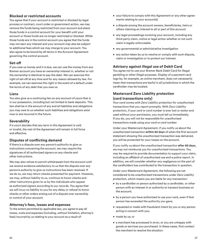### **Blocked or restricted accounts**

You agree that if your account is restricted or blocked by legal process or contract, court order or government action, we may remove the funds being restricted from your account and place those funds in a control account for your benefit until your account or those funds are no longer restricted or blocked. While those funds are in the control account you agree that the funds may not earn any interest and your account may also be subject to additional fees which we may charge to your account. You also agree to be bound by all terms in the Account Agreement governing the control account.

### **Set-off**

If you owe us money and it is due, we can use the money from any Bremer account you have an ownership interest in, whether or not the ownership is identical to pay the debt. We can exercise this right of set-off at any time and for any reason allowed by law. For example, we can exercise this right in the event of a default under the terms of any debt that you owe us.

#### **Liens**

You also give us a continuing lien on any account of yours that is in our possession, including but not limited to bank deposits. This lien shall be in the amount of any and all liabilities and obligations you may owe to us whether such liabilities and obligations exist now or are incurred in the future.

### **Severability**

If a court decides that any term in this Agreement is void or invalid, the rest of the Agreement will remain in full force and effective.

### **Disputes of conflicting demand**

If there is a dispute over any person's authority to give us instructions concerning the account, we may require the signatures of all authorized signers on any checks and other instructions.

We may also refuse to permit withdrawals from the account until we receive evidence satisfactory to us that the dispute over any person's authority to give us instructions has been resolved. If we do so, we may return checks presented for payment. However, we may, without liability to us, continue to honor checks and other instructions given to us by the individuals who appear as authorized signers according to our records. You agree that we will incur no liability to you for any delay or refusal to honor checks or other orders arising out of a dispute over ownership or control of your account.

### **Attorney's fees, losses and expenses**

To the extent permitted by applicable law, you agree to pay all losses, costs and expenses (including, without limitation, attorney's fees) incurred by us relating to your account as a result of:

- your failure to comply with this Agreement or any other agreements relating to your account(s)
- a dispute among the account owners, beneficiaries, heirs or others claiming an interest to all or part of this account
- any legal proceedings involving your account, including any third-party claim, notice or legal action whether or not such claim is legally enforceable
- any governmental or administrative investigation
- any action taken by us to resolve or comply with such dispute, claim or investigation or to protect our interest.

### **Advisory against illegal use of Debit Card**

You agree not to use your Bremer Bank Debit Card for illegal gambling or other illegal purposes. Display of a payment card logo by, for example, an online merchant, does not necessarily mean that transactions are lawful in all jurisdictions in which the cardholder may be located.

### **Mastercard Zero Liability protection (card transactions only)**

Your *card* comes with Zero Liability protection for unauthorized transactions that you report promptly. With Zero Liability protection, if your *card* or *card number* is ever lost or stolen and used without your permission, you must tell us immediately. If you do, you will not be responsible for unauthorized transactions made using your *card* or *card number.*

Under your Mastercard Agreement, if you notify us about the unauthorized transaction **within 60 days** of when the first account statement showing the unauthorized transaction was delivered, you will be protected for your losses on the account.

If you notify us about the unauthorized transaction **after 60 days,**  we may not reimburse you for unauthorized transactions. You may be required to provide documentation to support your claim, including an affidavit of unauthorized use and a police report. In addition, we will consider whether any negligence on the part of the cardholders has contributed to the transaction in question.

Under your Mastercard Agreement, the following are not considered to be unauthorized transactions under Zero Liability protection, which means you are liable for any transaction:

- by a cardholder or person authorized by a cardholder, or other person with an interest in or authority to transact business on the account;
- by a person you have authorized to use your card, even if that person has exceeded the authority you gave;
- requested or made with fraudulent intent by you or any person acting in concert with you;
- made by us; or
- a merchant has processed in error, or you are unhappy with goods or services you purchased. In these cases, first contact the merchant to resolve the situation.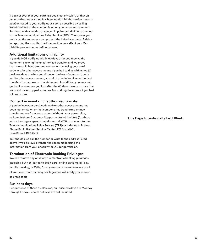If you suspect that your *card* has been lost or stolen, or that an unauthorized transaction has been made with the *card* or the *card number* issued to you, notify us as soon as possible by calling 800-908-2265 or the number listed on your account statement. For those with a hearing or speech impairment, dial 711 to connect to the Telecommunications Relay Service (TRS). The sooner you notify us, the sooner we can protect the linked accounts. A delay in reporting the unauthorized transaction may affect your Zero Liability protection, as defined above.

### **Additional limitations on liability**

If you do NOT notify us within 60 days after you receive the statement showing the unauthorized transfer, and we prove that we could have stopped someone from using your *card*, code and/or other access means if you had told us within two (2) business days of when you discover the loss of your *card*, code and/or other access means, you will be liable for all unauthorized transfers that appear on the statement. In addition, you may not get back any money you lost after the 60 days if we can prove that we could have stopped someone from taking the money if you had told us in time.

### **Contact in event of unauthorized transfer**

If you believe your card, code and/or other access means has been lost or stolen or that someone has transferred or may transfer money from you account without your permission, call our 24-hour Customer Support at 800-908-2265 (for those with a hearing or speech impairment, dial 711 to connect to the Telecommunications Relay Service (TRS)) or write us at Bremer Phone Bank, Bremer Service Center, PO Box 1000, Lake Elmo, MN 55042.

You should also call the number or write to the address listed above if you believe a transfer has been made using the information from your check without your permission.

### **Termination of Electronic Banking Privileges**

We can remove any or all of your electronic banking privileges, including but not limited to debit card, online banking, bill pay, mobile banking, or Zelle, for any reason. If we remove any or all of your electronic banking privileges, we will notify you as soon as practicable.

#### **Business days**

For purposes of these disclosures, our business days are Monday through Friday. Federal holidays are not included.

**This Page Intentionally Left Blank**